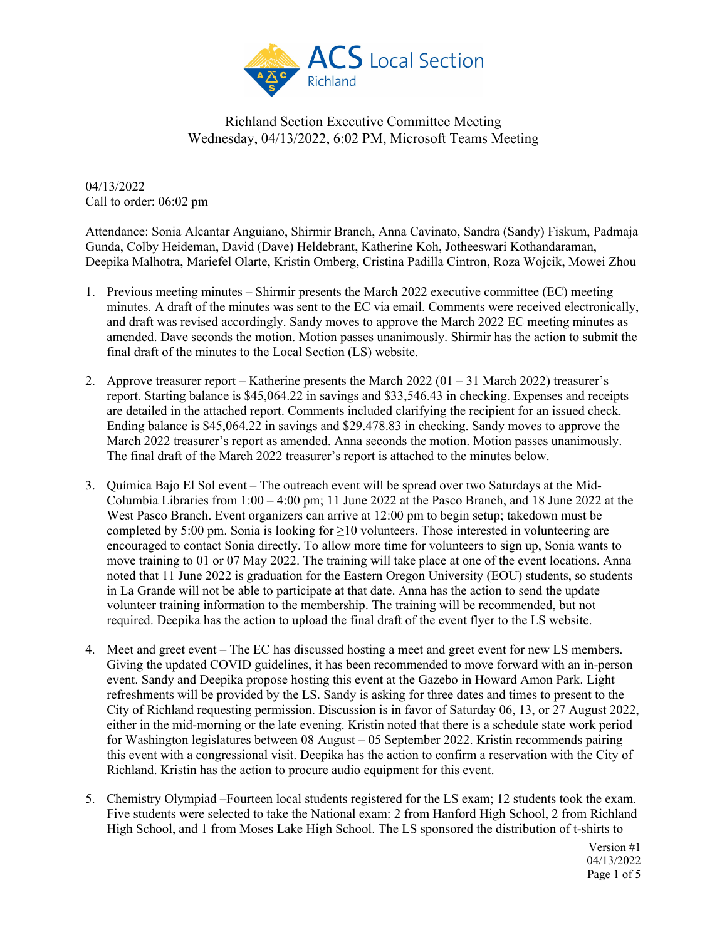

04/13/2022 Call to order: 06:02 pm

Attendance: Sonia Alcantar Anguiano, Shirmir Branch, Anna Cavinato, Sandra (Sandy) Fiskum, Padmaja Gunda, Colby Heideman, David (Dave) Heldebrant, Katherine Koh, Jotheeswari Kothandaraman, Deepika Malhotra, Mariefel Olarte, Kristin Omberg, Cristina Padilla Cintron, Roza Wojcik, Mowei Zhou

- 1. Previous meeting minutes Shirmir presents the March 2022 executive committee (EC) meeting minutes. A draft of the minutes was sent to the EC via email. Comments were received electronically, and draft was revised accordingly. Sandy moves to approve the March 2022 EC meeting minutes as amended. Dave seconds the motion. Motion passes unanimously. Shirmir has the action to submit the final draft of the minutes to the Local Section (LS) website.
- 2. Approve treasurer report Katherine presents the March 2022 (01 31 March 2022) treasurer's report. Starting balance is \$45,064.22 in savings and \$33,546.43 in checking. Expenses and receipts are detailed in the attached report. Comments included clarifying the recipient for an issued check. Ending balance is \$45,064.22 in savings and \$29.478.83 in checking. Sandy moves to approve the March 2022 treasurer's report as amended. Anna seconds the motion. Motion passes unanimously. The final draft of the March 2022 treasurer's report is attached to the minutes below.
- 3. Química Bajo El Sol event The outreach event will be spread over two Saturdays at the Mid-Columbia Libraries from  $1:00 - 4:00$  pm; 11 June 2022 at the Pasco Branch, and 18 June 2022 at the West Pasco Branch. Event organizers can arrive at 12:00 pm to begin setup; takedown must be completed by 5:00 pm. Sonia is looking for  $\geq$ 10 volunteers. Those interested in volunteering are encouraged to contact Sonia directly. To allow more time for volunteers to sign up, Sonia wants to move training to 01 or 07 May 2022. The training will take place at one of the event locations. Anna noted that 11 June 2022 is graduation for the Eastern Oregon University (EOU) students, so students in La Grande will not be able to participate at that date. Anna has the action to send the update volunteer training information to the membership. The training will be recommended, but not required. Deepika has the action to upload the final draft of the event flyer to the LS website.
- 4. Meet and greet event The EC has discussed hosting a meet and greet event for new LS members. Giving the updated COVID guidelines, it has been recommended to move forward with an in-person event. Sandy and Deepika propose hosting this event at the Gazebo in Howard Amon Park. Light refreshments will be provided by the LS. Sandy is asking for three dates and times to present to the City of Richland requesting permission. Discussion is in favor of Saturday 06, 13, or 27 August 2022, either in the mid-morning or the late evening. Kristin noted that there is a schedule state work period for Washington legislatures between 08 August – 05 September 2022. Kristin recommends pairing this event with a congressional visit. Deepika has the action to confirm a reservation with the City of Richland. Kristin has the action to procure audio equipment for this event.
- 5. Chemistry Olympiad –Fourteen local students registered for the LS exam; 12 students took the exam. Five students were selected to take the National exam: 2 from Hanford High School, 2 from Richland High School, and 1 from Moses Lake High School. The LS sponsored the distribution of t-shirts to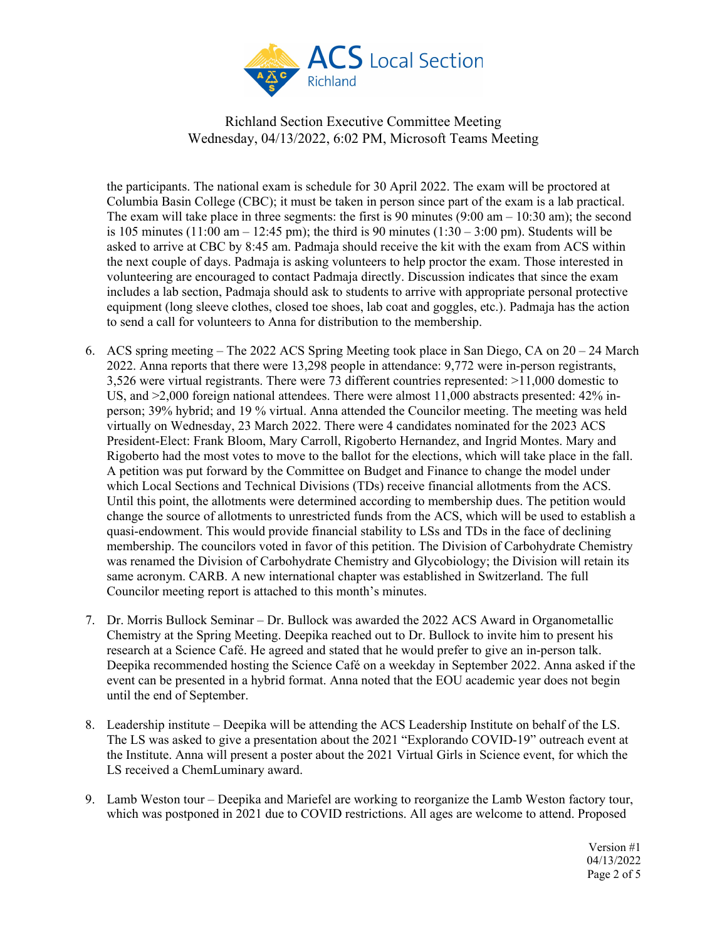

the participants. The national exam is schedule for 30 April 2022. The exam will be proctored at Columbia Basin College (CBC); it must be taken in person since part of the exam is a lab practical. The exam will take place in three segments: the first is  $90$  minutes  $(9:00 \text{ am} - 10:30 \text{ am})$ ; the second is 105 minutes (11:00 am  $-$  12:45 pm); the third is 90 minutes (1:30  $-$  3:00 pm). Students will be asked to arrive at CBC by 8:45 am. Padmaja should receive the kit with the exam from ACS within the next couple of days. Padmaja is asking volunteers to help proctor the exam. Those interested in volunteering are encouraged to contact Padmaja directly. Discussion indicates that since the exam includes a lab section, Padmaja should ask to students to arrive with appropriate personal protective equipment (long sleeve clothes, closed toe shoes, lab coat and goggles, etc.). Padmaja has the action to send a call for volunteers to Anna for distribution to the membership.

- 6. ACS spring meeting The 2022 ACS Spring Meeting took place in San Diego, CA on 20 24 March 2022. Anna reports that there were 13,298 people in attendance: 9,772 were in-person registrants, 3,526 were virtual registrants. There were 73 different countries represented: >11,000 domestic to US, and  $\geq$ 2,000 foreign national attendees. There were almost 11,000 abstracts presented: 42% inperson; 39% hybrid; and 19 % virtual. Anna attended the Councilor meeting. The meeting was held virtually on Wednesday, 23 March 2022. There were 4 candidates nominated for the 2023 ACS President-Elect: Frank Bloom, Mary Carroll, Rigoberto Hernandez, and Ingrid Montes. Mary and Rigoberto had the most votes to move to the ballot for the elections, which will take place in the fall. A petition was put forward by the Committee on Budget and Finance to change the model under which Local Sections and Technical Divisions (TDs) receive financial allotments from the ACS. Until this point, the allotments were determined according to membership dues. The petition would change the source of allotments to unrestricted funds from the ACS, which will be used to establish a quasi-endowment. This would provide financial stability to LSs and TDs in the face of declining membership. The councilors voted in favor of this petition. The Division of Carbohydrate Chemistry was renamed the Division of Carbohydrate Chemistry and Glycobiology; the Division will retain its same acronym. CARB. A new international chapter was established in Switzerland. The full Councilor meeting report is attached to this month's minutes.
- 7. Dr. Morris Bullock Seminar Dr. Bullock was awarded the 2022 ACS Award in Organometallic Chemistry at the Spring Meeting. Deepika reached out to Dr. Bullock to invite him to present his research at a Science Café. He agreed and stated that he would prefer to give an in-person talk. Deepika recommended hosting the Science Café on a weekday in September 2022. Anna asked if the event can be presented in a hybrid format. Anna noted that the EOU academic year does not begin until the end of September.
- 8. Leadership institute Deepika will be attending the ACS Leadership Institute on behalf of the LS. The LS was asked to give a presentation about the 2021 "Explorando COVID-19" outreach event at the Institute. Anna will present a poster about the 2021 Virtual Girls in Science event, for which the LS received a ChemLuminary award.
- 9. Lamb Weston tour Deepika and Mariefel are working to reorganize the Lamb Weston factory tour, which was postponed in 2021 due to COVID restrictions. All ages are welcome to attend. Proposed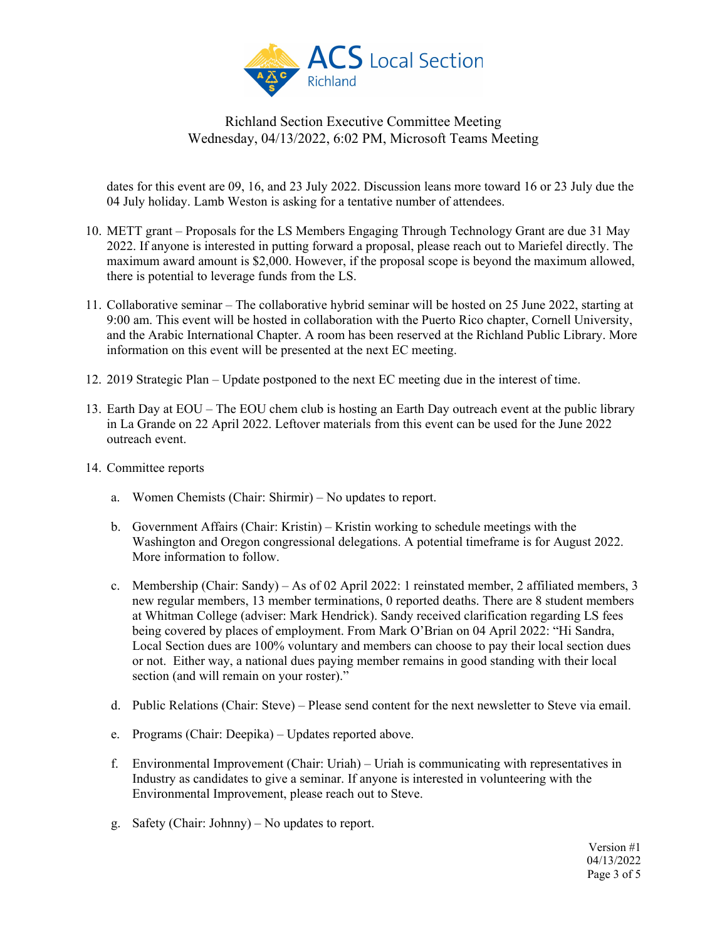

dates for this event are 09, 16, and 23 July 2022. Discussion leans more toward 16 or 23 July due the 04 July holiday. Lamb Weston is asking for a tentative number of attendees.

- 10. METT grant Proposals for the LS Members Engaging Through Technology Grant are due 31 May 2022. If anyone is interested in putting forward a proposal, please reach out to Mariefel directly. The maximum award amount is \$2,000. However, if the proposal scope is beyond the maximum allowed, there is potential to leverage funds from the LS.
- 11. Collaborative seminar The collaborative hybrid seminar will be hosted on 25 June 2022, starting at 9:00 am. This event will be hosted in collaboration with the Puerto Rico chapter, Cornell University, and the Arabic International Chapter. A room has been reserved at the Richland Public Library. More information on this event will be presented at the next EC meeting.
- 12. 2019 Strategic Plan Update postponed to the next EC meeting due in the interest of time.
- 13. Earth Day at EOU The EOU chem club is hosting an Earth Day outreach event at the public library in La Grande on 22 April 2022. Leftover materials from this event can be used for the June 2022 outreach event.
- 14. Committee reports
	- a. Women Chemists (Chair: Shirmir) No updates to report.
	- b. Government Affairs (Chair: Kristin) Kristin working to schedule meetings with the Washington and Oregon congressional delegations. A potential timeframe is for August 2022. More information to follow.
	- c. Membership (Chair: Sandy) As of 02 April 2022: 1 reinstated member, 2 affiliated members, 3 new regular members, 13 member terminations, 0 reported deaths. There are 8 student members at Whitman College (adviser: Mark Hendrick). Sandy received clarification regarding LS fees being covered by places of employment. From Mark O'Brian on 04 April 2022: "Hi Sandra, Local Section dues are 100% voluntary and members can choose to pay their local section dues or not. Either way, a national dues paying member remains in good standing with their local section (and will remain on your roster)."
	- d. Public Relations (Chair: Steve) Please send content for the next newsletter to Steve via email.
	- e. Programs (Chair: Deepika) Updates reported above.
	- f. Environmental Improvement (Chair: Uriah) Uriah is communicating with representatives in Industry as candidates to give a seminar. If anyone is interested in volunteering with the Environmental Improvement, please reach out to Steve.
	- g. Safety (Chair: Johnny) No updates to report.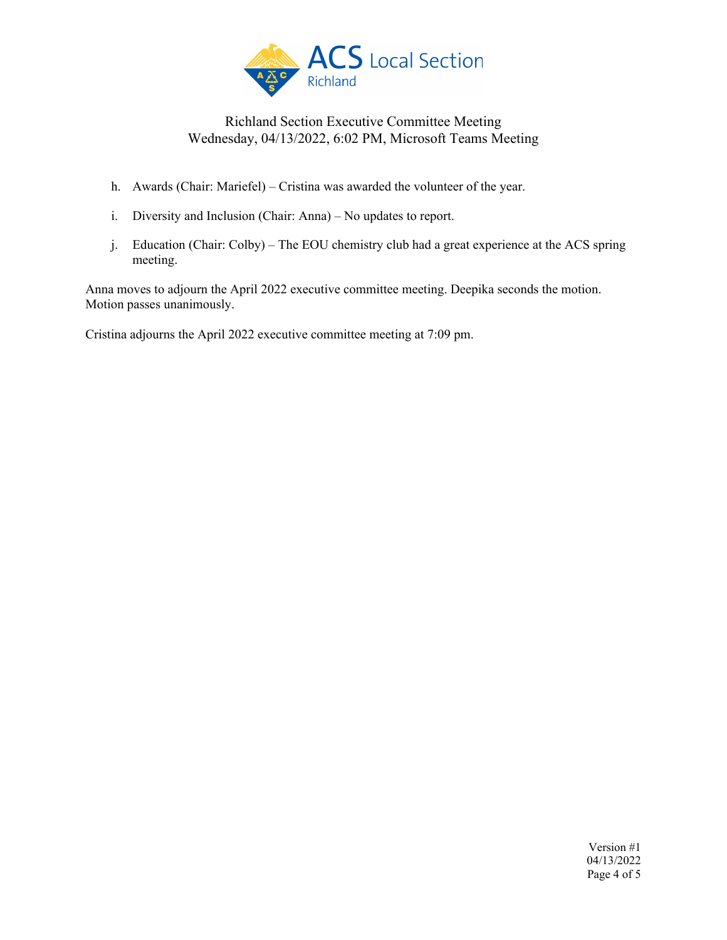

- h. Awards (Chair: Mariefel) Cristina was awarded the volunteer of the year.
- i. Diversity and Inclusion (Chair: Anna) No updates to report.
- j. Education (Chair: Colby) The EOU chemistry club had a great experience at the ACS spring meeting.

Anna moves to adjourn the April 2022 executive committee meeting. Deepika seconds the motion. Motion passes unanimously.

Cristina adjourns the April 2022 executive committee meeting at 7:09 pm.